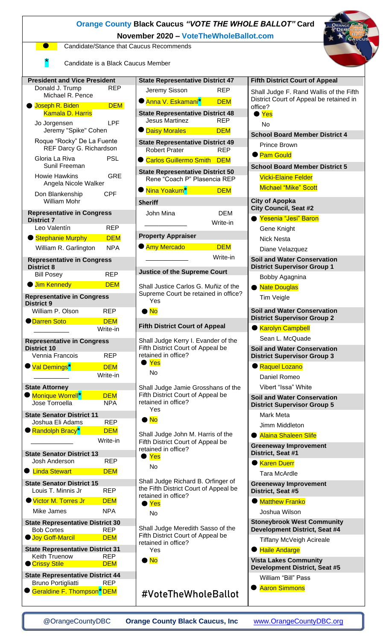| <b>Orange County Black Caucus "VOTE THE WHOLE BALLOT" Card</b><br>November 2020 - VoteTheWholeBallot.com           |                          |                                                                                                                                             |            |                                                                           |  |  |
|--------------------------------------------------------------------------------------------------------------------|--------------------------|---------------------------------------------------------------------------------------------------------------------------------------------|------------|---------------------------------------------------------------------------|--|--|
| Candidate/Stance that Caucus Recommends                                                                            |                          |                                                                                                                                             |            |                                                                           |  |  |
| Candidate is a Black Caucus Member                                                                                 |                          |                                                                                                                                             |            |                                                                           |  |  |
| <b>President and Vice President</b>                                                                                |                          | <b>State Representative District 47</b>                                                                                                     |            | <b>Fifth District Court of Appeal</b>                                     |  |  |
| Donald J. Trump<br>Michael R. Pence                                                                                | <b>REP</b>               | Jeremy Sisson                                                                                                                               | <b>REP</b> | Shall Judge F. Rand Wallis of the Fifth                                   |  |  |
| Joseph R. Biden                                                                                                    | <b>DEM</b>               | ● Anna V. Eskamani <sup>*</sup>                                                                                                             | <b>DEM</b> | District Court of Appeal be retained in<br>office?                        |  |  |
| <b>Kamala D. Harris</b><br><b>LPF</b><br>Jo Jorgensen<br>Jeremy "Spike" Cohen                                      |                          | <b>State Representative District 48</b><br><b>Jesus Martinez</b>                                                                            | <b>REP</b> | $\bullet$ Yes<br>No                                                       |  |  |
|                                                                                                                    |                          | <b>O</b> Daisy Morales                                                                                                                      | <b>DEM</b> | <b>School Board Member District 4</b>                                     |  |  |
| Roque "Rocky" De La Fuente<br>REF Darcy G. Richardson                                                              |                          | <b>State Representative District 49</b><br><b>Robert Prater</b>                                                                             | <b>REP</b> | Prince Brown<br><b>• Pam Gould</b>                                        |  |  |
| <b>PSL</b><br>Gloria La Riva<br>Sunil Freeman                                                                      |                          | Carlos Guillermo Smith DEM                                                                                                                  |            | <b>School Board Member District 5</b>                                     |  |  |
| <b>GRE</b><br><b>Howie Hawkins</b><br>Angela Nicole Walker                                                         |                          | <b>State Representative District 50</b><br>Rene "Coach P" Plasencia REP                                                                     |            | <b>Vicki-Elaine Felder</b>                                                |  |  |
| Don Blankenship                                                                                                    | <b>CPF</b>               | ● <mark>Nina Yoakum<sup>*</sup>l</mark>                                                                                                     | <b>DEM</b> | <b>Michael "Mike" Scott</b>                                               |  |  |
| <b>William Mohr</b>                                                                                                |                          | <b>Sheriff</b>                                                                                                                              |            | <b>City of Apopka</b><br><b>City Council, Seat #2</b>                     |  |  |
| <b>Representative in Congress</b><br><b>District 7</b>                                                             |                          | John Mina                                                                                                                                   | <b>DEM</b> | ● Yesenia "Jesi" Baron                                                    |  |  |
| Leo Valentín                                                                                                       | <b>REP</b>               |                                                                                                                                             | Write-in   | Gene Knight                                                               |  |  |
| Stephanie Murphy                                                                                                   | <b>DEM</b>               | <b>Property Appraiser</b>                                                                                                                   |            | <b>Nick Nesta</b>                                                         |  |  |
| William R. Garlington                                                                                              | <b>NPA</b>               | <b>Amy Mercado</b>                                                                                                                          | <b>DEM</b> | Diane Velazquez                                                           |  |  |
| <b>Representative in Congress</b><br><b>District 8</b>                                                             |                          |                                                                                                                                             | Write-in   | <b>Soil and Water Conservation</b><br><b>District Supervisor Group 1</b>  |  |  |
| <b>Bill Posey</b>                                                                                                  | <b>REP</b>               | <b>Justice of the Supreme Court</b>                                                                                                         |            | Bobby Agagnina                                                            |  |  |
| <b>Jim Kennedy</b>                                                                                                 | <b>DEM</b>               | Shall Justice Carlos G. Muñiz of the                                                                                                        |            | ● Nate Douglas                                                            |  |  |
| <b>Representative in Congress</b><br><b>District 9</b>                                                             |                          | Supreme Court be retained in office?<br>Yes                                                                                                 |            | Tim Veigle                                                                |  |  |
| William P. Olson                                                                                                   | <b>REP</b>               | $\bullet$ No                                                                                                                                |            | <b>Soil and Water Conservation</b><br><b>District Supervisor Group 2</b>  |  |  |
| <b>O</b> Darren Soto                                                                                               | <b>DEM</b><br>Write-in   | <b>Fifth District Court of Appeal</b>                                                                                                       |            | <b>Karolyn Campbell</b>                                                   |  |  |
| <b>Representative in Congress</b>                                                                                  |                          | Shall Judge Kerry I. Evander of the<br>Fifth District Court of Appeal be                                                                    |            | Sean L. McQuade                                                           |  |  |
| <b>District 10</b><br>Vennia Francois                                                                              | <b>REP</b>               | retained in office?                                                                                                                         |            | <b>Soil and Water Conservation</b><br><b>District Supervisor Group 3</b>  |  |  |
| <sup>●</sup> <mark>Val Demings</mark> *                                                                            | <b>DEM</b>               | $\bullet$ Yes                                                                                                                               |            | Raquel Lozano                                                             |  |  |
|                                                                                                                    | Write-in                 | No                                                                                                                                          |            | Daniel Romeo                                                              |  |  |
| <b>State Attorney</b>                                                                                              |                          | Shall Judge Jamie Grosshans of the                                                                                                          |            | Vibert "Issa" White                                                       |  |  |
| Monique Worrell*<br>Jose Torroella                                                                                 | <b>DEM</b><br><b>NPA</b> | Fifth District Court of Appeal be<br><b>Soil and Water Conservation</b><br>retained in office?<br><b>District Supervisor Group 5</b><br>Yes |            |                                                                           |  |  |
| <b>State Senator District 11</b><br>Joshua Eli Adams                                                               | <b>REP</b>               | $\bullet$ No                                                                                                                                |            | Mark Meta                                                                 |  |  |
| Randolph Bracy <sup>*</sup>                                                                                        | <b>DEM</b>               | Shall Judge John M. Harris of the                                                                                                           |            | Jimm Middleton<br>● Alaina Shaleen Slife                                  |  |  |
|                                                                                                                    | Write-in                 | Fifth District Court of Appeal be                                                                                                           |            | <b>Greeneway Improvement</b>                                              |  |  |
| <b>State Senator District 13</b>                                                                                   |                          | retained in office?<br>Yes                                                                                                                  |            | District, Seat #1                                                         |  |  |
| Josh Anderson                                                                                                      | <b>REP</b>               | No                                                                                                                                          |            | <b>Karen Duerr</b>                                                        |  |  |
| <b>C</b> Linda Stewart                                                                                             | <b>DEM</b>               |                                                                                                                                             |            | <b>Tara McArdle</b>                                                       |  |  |
| <b>State Senator District 15</b><br>Louis T. Minnis Jr                                                             | <b>REP</b>               | Shall Judge Richard B. Orfinger of<br>the Fifth District Court of Appeal be<br>retained in office?                                          |            | <b>Greeneway Improvement</b><br>District, Seat #5                         |  |  |
| Victor M. Torres Jr                                                                                                | <b>DEM</b>               | $\bullet$ Yes                                                                                                                               |            | <b>C</b> Matthew Franko                                                   |  |  |
| Mike James                                                                                                         | <b>NPA</b>               | No                                                                                                                                          |            | Joshua Wilson                                                             |  |  |
| <b>State Representative District 30</b><br><b>Bob Cortes</b><br><b>REP</b><br><b>Joy Goff-Marcil</b><br><b>DEM</b> |                          | Shall Judge Meredith Sasso of the<br>Fifth District Court of Appeal be<br>retained in office?<br>Yes                                        |            | <b>Stoneybrook West Community</b><br><b>Development District, Seat #4</b> |  |  |
|                                                                                                                    |                          |                                                                                                                                             |            | <b>Tiffany McVeigh Acireale</b>                                           |  |  |
| <b>State Representative District 31</b><br>Keith Truenow<br><b>REP</b>                                             |                          |                                                                                                                                             |            | ● Haile Andarge                                                           |  |  |
| <b>Crissy Stile</b>                                                                                                | <b>DEM</b>               | $\bullet$ No                                                                                                                                |            | <b>Vista Lakes Community</b><br><b>Development District, Seat #5</b>      |  |  |
| <b>State Representative District 44</b><br>Bruno Portigliatti REP                                                  |                          |                                                                                                                                             |            | William "Bill" Pass                                                       |  |  |
| Geraldine F. Thompson <sup>*</sup> DEM                                                                             |                          | #VoteTheWholeBallot                                                                                                                         |            | <b>Aaron Simmons</b>                                                      |  |  |

[@OrangeCountyDBC](http://www.twitter.com/orangecountydbc) **Orange County Black Caucus, Inc** [www.OrangeCountyDBC.org](http://www.orangecountydbc.org/)